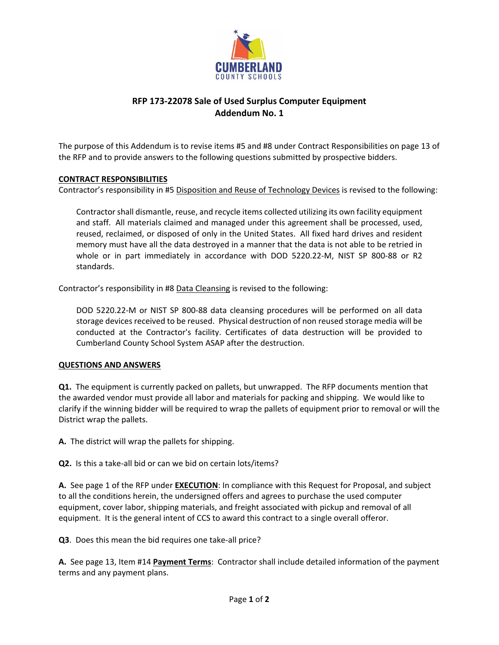

## **RFP 173‐22078 Sale of Used Surplus Computer Equipment Addendum No. 1**

The purpose of this Addendum is to revise items #5 and #8 under Contract Responsibilities on page 13 of the RFP and to provide answers to the following questions submitted by prospective bidders.

## **CONTRACT RESPONSIBILITIES**

Contractor's responsibility in #5 Disposition and Reuse of Technology Devices is revised to the following:

Contractor shall dismantle, reuse, and recycle items collected utilizing its own facility equipment and staff. All materials claimed and managed under this agreement shall be processed, used, reused, reclaimed, or disposed of only in the United States. All fixed hard drives and resident memory must have all the data destroyed in a manner that the data is not able to be retried in whole or in part immediately in accordance with DOD 5220.22-M, NIST SP 800-88 or R2 standards.

Contractor's responsibility in #8 Data Cleansing is revised to the following:

DOD 5220.22‐M or NIST SP 800‐88 data cleansing procedures will be performed on all data storage devices received to be reused. Physical destruction of non reused storage media will be conducted at the Contractor's facility. Certificates of data destruction will be provided to Cumberland County School System ASAP after the destruction.

## **QUESTIONS AND ANSWERS**

**Q1.** The equipment is currently packed on pallets, but unwrapped. The RFP documents mention that the awarded vendor must provide all labor and materials for packing and shipping. We would like to clarify if the winning bidder will be required to wrap the pallets of equipment prior to removal or will the District wrap the pallets.

**A.** The district will wrap the pallets for shipping.

**Q2.** Is this a take-all bid or can we bid on certain lots/items?

**A.** See page 1 of the RFP under **EXECUTION**: In compliance with this Request for Proposal, and subject to all the conditions herein, the undersigned offers and agrees to purchase the used computer equipment, cover labor, shipping materials, and freight associated with pickup and removal of all equipment. It is the general intent of CCS to award this contract to a single overall offeror.

**Q3**. Does this mean the bid requires one take-all price?

**A.** See page 13, Item #14 **Payment Terms**: Contractor shall include detailed information of the payment terms and any payment plans.